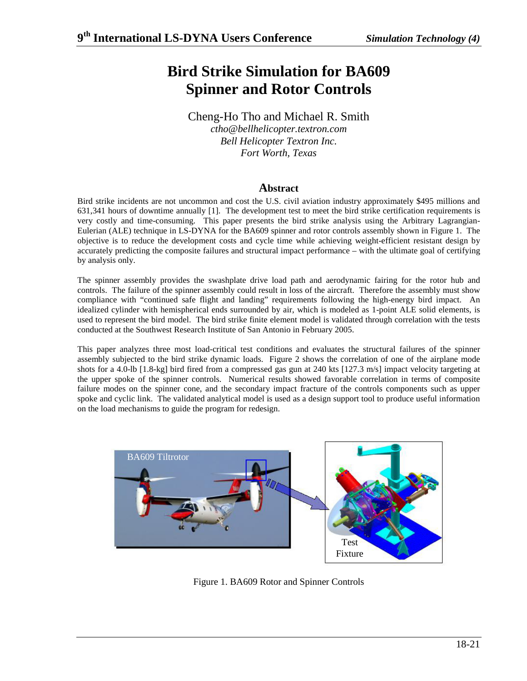## **Bird Strike Simulation for BA609 Spinner and Rotor Controls**

Cheng-Ho Tho and Michael R. Smith *ctho@bellhelicopter.textron.com Bell Helicopter Textron Inc. Fort Worth, Texas* 

## **Abstract**

Bird strike incidents are not uncommon and cost the U.S. civil aviation industry approximately \$495 millions and 631,341 hours of downtime annually [1]. The development test to meet the bird strike certification requirements is very costly and time-consuming. This paper presents the bird strike analysis using the Arbitrary Lagrangian-Eulerian (ALE) technique in LS-DYNA for the BA609 spinner and rotor controls assembly shown in Figure 1. The objective is to reduce the development costs and cycle time while achieving weight-efficient resistant design by accurately predicting the composite failures and structural impact performance – with the ultimate goal of certifying by analysis only.

The spinner assembly provides the swashplate drive load path and aerodynamic fairing for the rotor hub and controls. The failure of the spinner assembly could result in loss of the aircraft. Therefore the assembly must show compliance with "continued safe flight and landing" requirements following the high-energy bird impact. An idealized cylinder with hemispherical ends surrounded by air, which is modeled as 1-point ALE solid elements, is used to represent the bird model. The bird strike finite element model is validated through correlation with the tests conducted at the Southwest Research Institute of San Antonio in February 2005.

This paper analyzes three most load-critical test conditions and evaluates the structural failures of the spinner assembly subjected to the bird strike dynamic loads. Figure 2 shows the correlation of one of the airplane mode shots for a 4.0-lb [1.8-kg] bird fired from a compressed gas gun at 240 kts [127.3 m/s] impact velocity targeting at the upper spoke of the spinner controls. Numerical results showed favorable correlation in terms of composite failure modes on the spinner cone, and the secondary impact fracture of the controls components such as upper spoke and cyclic link. The validated analytical model is used as a design support tool to produce useful information on the load mechanisms to guide the program for redesign.



Figure 1. BA609 Rotor and Spinner Controls